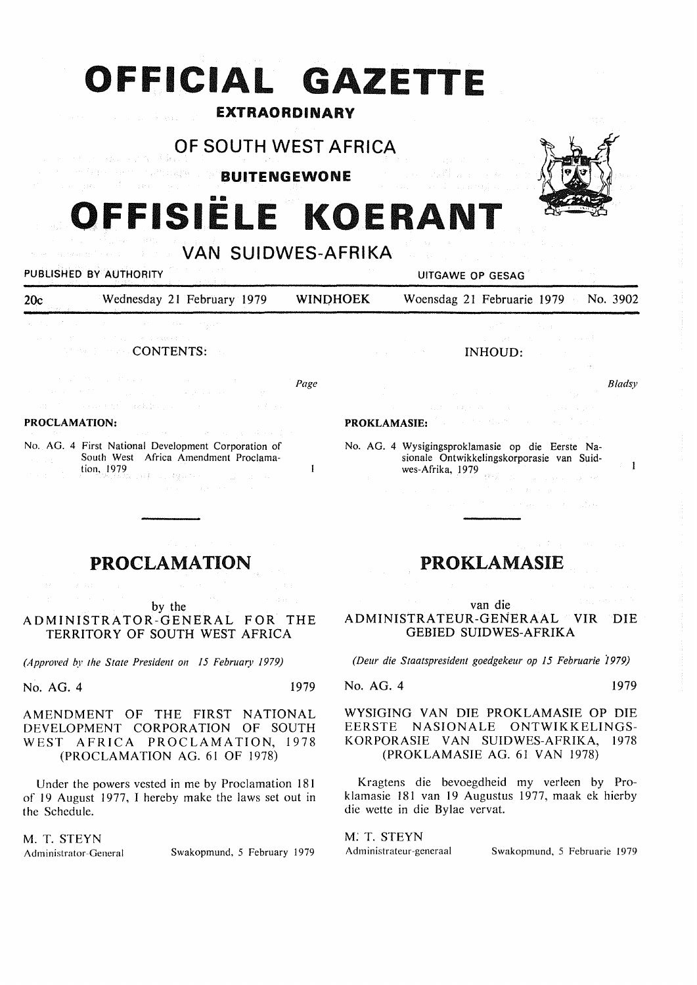# **OFFICIAL GA ETTE**

## EXTRAORDINARY

## OF SOUTH WEST AFRICA

national and prop BUITENGEWONE

## **OFFISIELE KOERANT**

VAN SUIDWES-AFRIKA PUBLISHED BY AUTHORITY **EXAMPLE 2018 IN THE SECOND AUTHORITY** UITGAWE OP GESAG

INHOUD:

20c Wednesday 21 February 1979 WINQHOEK Woensdag 21 Februarie 1979 No. 3902

**CONTENTS:** 

*Page* 

#### **PROCLAMATION:**

No. AG. 4 First National Development Corporation of South West Africa Amendment Proclamation, 1979  $\sim$   $^{\circ}_{\Lambda}$ as Bysons

## **PROCLAMATION**

by the

ADMINISTRATOR-GENERAL FOR THE TERRITORY OF SOUTH WEST AFRICA

*(Approved by the State President on 15 February 1979)* 

No. AG. 4 1979

 $\mathbf{1}$ 

AMENDMENT OF THE FIRST NATIONAL DEVELOPMENT CORPORATION OF SOUTH WEST AFRICA PROCLAMATION, 1978 (PROCLAMATION AG. 61 OF 1978)

Under the powers vested in me by Proclamation 181 of 19 August 1977, I hereby make the laws set out in the Schedule.

## M. T. STEYN

Administrator-General Swakopmund, 5 February 1979

## PROKLAMASIE

van die ADMINISTRATEUR-GENERAAL VIR DIE GEBIED SUIDWES-AFRIKA

*(Deur die Staatspresident goedgekeur op 15 Februarie i979)* 

#### No. AG. 4 1979

WYSIGING VAN DIE PROKLAMASIE OP DIE EERSTE NASIONALE ONTWIKKELINGS-KORPORASIE VAN SUIDWES-AFRIKA, 1978 (PROKLAMASIE AG. 61 VAN 1978)

Kragtens die bevoegdheid my verleen by Proklamasie 181 van 19 Augustus 1977, maak ek hierby die wette in die Bylae vervat.

*M:* T. STEYN

Administrateur-generaal Swakopmund, 5 Februarie 1979



*Bladsy* 

 $\mathbf{1}$ 

#### **PROKLAMASIE:**

No. AG. 4 Wysigingsproklamasie op die Eerste Nasionale Ontwikkelingskorporasie van Suidwes-Afrika, 1979